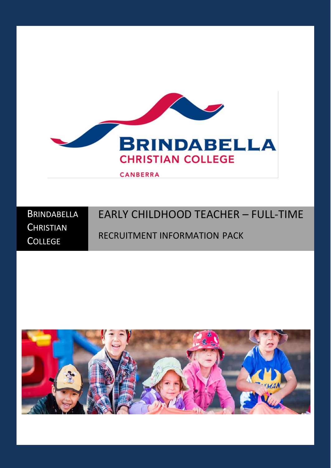

**BRINDABELLA CHRISTIAN COLLEGE** EARLY CHILDHOOD TEACHER – FULL-TIME RECRUITMENT INFORMATION PACK

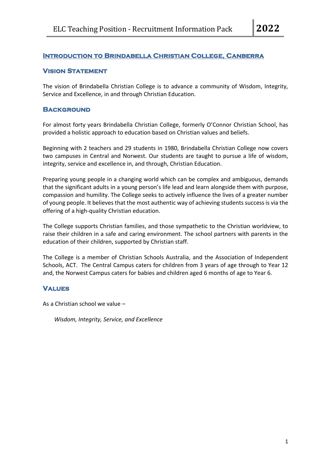# **Introduction to Brindabella Christian College, Canberra**

#### **Vision Statement**

The vision of Brindabella Christian College is to advance a community of Wisdom, Integrity, Service and Excellence, in and through Christian Education.

#### **BACKGROUND**

For almost forty years Brindabella Christian College, formerly O'Connor Christian School, has provided a holistic approach to education based on Christian values and beliefs.

Beginning with 2 teachers and 29 students in 1980, Brindabella Christian College now covers two campuses in Central and Norwest. Our students are taught to pursue a life of wisdom, integrity, service and excellence in, and through, Christian Education.

Preparing young people in a changing world which can be complex and ambiguous, demands that the significant adults in a young person's life lead and learn alongside them with purpose, compassion and humility. The College seeks to actively influence the lives of a greater number of young people. It believes that the most authentic way of achieving students success is via the offering of a high-quality Christian education.

The College supports Christian families, and those sympathetic to the Christian worldview, to raise their children in a safe and caring environment. The school partners with parents in the education of their children, supported by Christian staff.

The College is a member of Christian Schools Australia, and the Association of Independent Schools, ACT. The Central Campus caters for children from 3 years of age through to Year 12 and, the Norwest Campus caters for babies and children aged 6 months of age to Year 6.

#### **Values**

As a Christian school we value –

*Wisdom, Integrity, Service, and Excellence*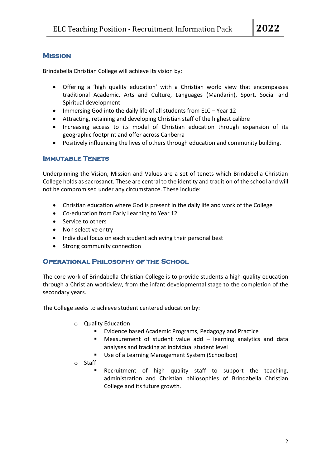# **Mission**

Brindabella Christian College will achieve its vision by:

- Offering a 'high quality education' with a Christian world view that encompasses traditional Academic, Arts and Culture, Languages (Mandarin), Sport, Social and Spiritual development
- Immersing God into the daily life of all students from ELC Year 12
- Attracting, retaining and developing Christian staff of the highest calibre
- Increasing access to its model of Christian education through expansion of its geographic footprint and offer across Canberra
- Positively influencing the lives of others through education and community building.

### **Immutable Tenets**

Underpinning the Vision, Mission and Values are a set of tenets which Brindabella Christian College holds as sacrosanct. These are central to the identity and tradition of the school and will not be compromised under any circumstance. These include:

- Christian education where God is present in the daily life and work of the College
- Co-education from Early Learning to Year 12
- Service to others
- Non selective entry
- Individual focus on each student achieving their personal best
- Strong community connection

# **Operational Philosophy of the School**

The core work of Brindabella Christian College is to provide students a high-quality education through a Christian worldview, from the infant developmental stage to the completion of the secondary years.

The College seeks to achieve student centered education by:

- o Quality Education
	- Evidence based Academic Programs, Pedagogy and Practice
	- Measurement of student value add learning analytics and data analyses and tracking at individual student level
	- Use of a Learning Management System (Schoolbox)
- o Staff
	- Recruitment of high quality staff to support the teaching, administration and Christian philosophies of Brindabella Christian College and its future growth.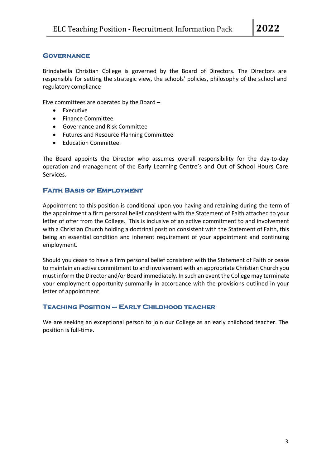### **Governance**

Brindabella Christian College is governed by the Board of Directors. The Directors are responsible for setting the strategic view, the schools' policies, philosophy of the school and regulatory compliance

Five committees are operated by the Board –

- Executive
- Finance Committee
- Governance and Risk Committee
- Futures and Resource Planning Committee
- Education Committee.

The Board appoints the Director who assumes overall responsibility for the day-to-day operation and management of the Early Learning Centre's and Out of School Hours Care Services.

#### **Faith Basis of Employment**

Appointment to this position is conditional upon you having and retaining during the term of the appointment a firm personal belief consistent with the Statement of Faith attached to your letter of offer from the College. This is inclusive of an active commitment to and involvement with a Christian Church holding a doctrinal position consistent with the Statement of Faith, this being an essential condition and inherent requirement of your appointment and continuing employment.

Should you cease to have a firm personal belief consistent with the Statement of Faith or cease to maintain an active commitment to and involvement with an appropriate Christian Church you must inform the Director and/or Board immediately. In such an event the College may terminate your employment opportunity summarily in accordance with the provisions outlined in your letter of appointment.

#### **Teaching Position – Early Childhood teacher**

We are seeking an exceptional person to join our College as an early childhood teacher. The position is full-time.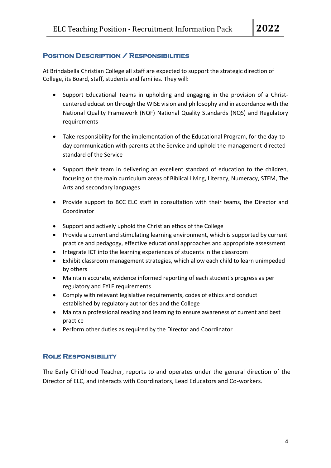### **Position Description / Responsibilities**

At Brindabella Christian College all staff are expected to support the strategic direction of College, its Board, staff, students and families. They will:

- Support Educational Teams in upholding and engaging in the provision of a Christcentered education through the WISE vision and philosophy and in accordance with the National Quality Framework (NQF) National Quality Standards (NQS) and Regulatory requirements
- Take responsibility for the implementation of the Educational Program, for the day-today communication with parents at the Service and uphold the management-directed standard of the Service
- Support their team in delivering an excellent standard of education to the children, focusing on the main curriculum areas of Biblical Living, Literacy, Numeracy, STEM, The Arts and secondary languages
- Provide support to BCC ELC staff in consultation with their teams, the Director and Coordinator
- Support and actively uphold the Christian ethos of the College
- Provide a current and stimulating learning environment, which is supported by current practice and pedagogy, effective educational approaches and appropriate assessment
- Integrate ICT into the learning experiences of students in the classroom
- Exhibit classroom management strategies, which allow each child to learn unimpeded by others
- Maintain accurate, evidence informed reporting of each student's progress as per regulatory and EYLF requirements
- Comply with relevant legislative requirements, codes of ethics and conduct established by regulatory authorities and the College
- Maintain professional reading and learning to ensure awareness of current and best practice
- Perform other duties as required by the Director and Coordinator

# **Role Responsibility**

The Early Childhood Teacher, reports to and operates under the general direction of the Director of ELC, and interacts with Coordinators, Lead Educators and Co-workers.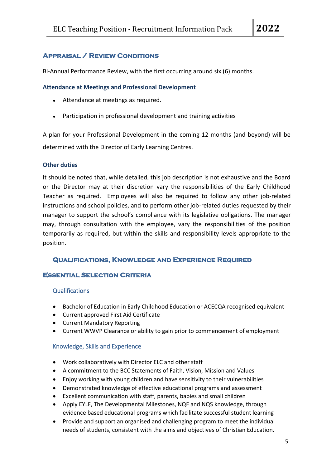# **Appraisal / Review Conditions**

Bi-Annual Performance Review, with the first occurring around six (6) months.

### **Attendance at Meetings and Professional Development**

- Attendance at meetings as required.
- Participation in professional development and training activities

A plan for your Professional Development in the coming 12 months (and beyond) will be determined with the Director of Early Learning Centres.

#### **Other duties**

It should be noted that, while detailed, this job description is not exhaustive and the Board or the Director may at their discretion vary the responsibilities of the Early Childhood Teacher as required. Employees will also be required to follow any other job-related instructions and school policies, and to perform other job-related duties requested by their manager to support the school's compliance with its legislative obligations. The manager may, through consultation with the employee, vary the responsibilities of the position temporarily as required, but within the skills and responsibility levels appropriate to the position.

# **Qualifications, Knowledge and Experience Required**

### **Essential Selection Criteria**

#### Qualifications

- Bachelor of Education in Early Childhood Education or ACECQA recognised equivalent
- Current approved First Aid Certificate
- Current Mandatory Reporting
- Current WWVP Clearance or ability to gain prior to commencement of employment

#### Knowledge, Skills and Experience

- Work collaboratively with Director ELC and other staff
- A commitment to the BCC Statements of Faith, Vision, Mission and Values
- Enjoy working with young children and have sensitivity to their vulnerabilities
- Demonstrated knowledge of effective educational programs and assessment
- Excellent communication with staff, parents, babies and small children
- Apply EYLF, The Developmental Milestones, NQF and NQS knowledge, through evidence based educational programs which facilitate successful student learning
- Provide and support an organised and challenging program to meet the individual needs of students, consistent with the aims and objectives of Christian Education.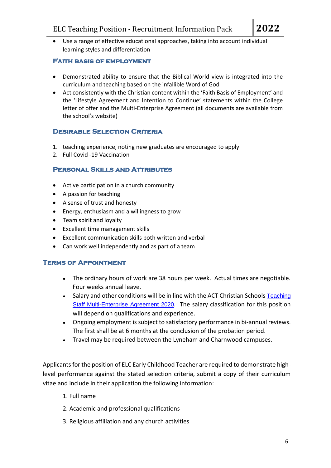• Use a range of effective educational approaches, taking into account individual learning styles and differentiation

# **Faith basis of employment**

- Demonstrated ability to ensure that the Biblical World view is integrated into the curriculum and teaching based on the infallible Word of God
- Act consistently with the Christian content within the 'Faith Basis of Employment' and the 'Lifestyle Agreement and Intention to Continue' statements within the College letter of offer and the Multi-Enterprise Agreement (all documents are available from the school's website)

# **Desirable Selection Criteria**

- 1. teaching experience, noting new graduates are encouraged to apply
- 2. Full Covid -19 Vaccination

# **Personal Skills and Attributes**

- Active participation in a church community
- A passion for teaching
- A sense of trust and honesty
- Energy, enthusiasm and a willingness to grow
- Team spirit and loyalty
- Excellent time management skills
- Excellent communication skills both written and verbal
- Can work well independently and as part of a team

# **Terms of Appointment**

- The ordinary hours of work are 38 hours per week. Actual times are negotiable. Four weeks annual leave.
- Salary and other conditions will be in line with the ACT Christian Schools [Teaching](https://www.bcc.act.edu.au/__media_downloads/3246/ACT%20Christian%20Schools%20Teaching%20Satff%20MEA%202020.pdf?downloadable=1) Staff [Multi-Enterprise](https://www.bcc.act.edu.au/__media_downloads/3246/ACT%20Christian%20Schools%20Teaching%20Satff%20MEA%202020.pdf?downloadable=1) Agreement 2020. The salary classification for this position will depend on qualifications and experience.
- Ongoing employment is subject to satisfactory performance in bi-annual reviews. The first shall be at 6 months at the conclusion of the probation period.
- Travel may be required between the Lyneham and Charnwood campuses.

Applicants for the position of ELC Early Childhood Teacher are required to demonstrate highlevel performance against the stated selection criteria, submit a copy of their curriculum vitae and include in their application the following information:

- 1. Full name
- 2. Academic and professional qualifications
- 3. Religious affiliation and any church activities